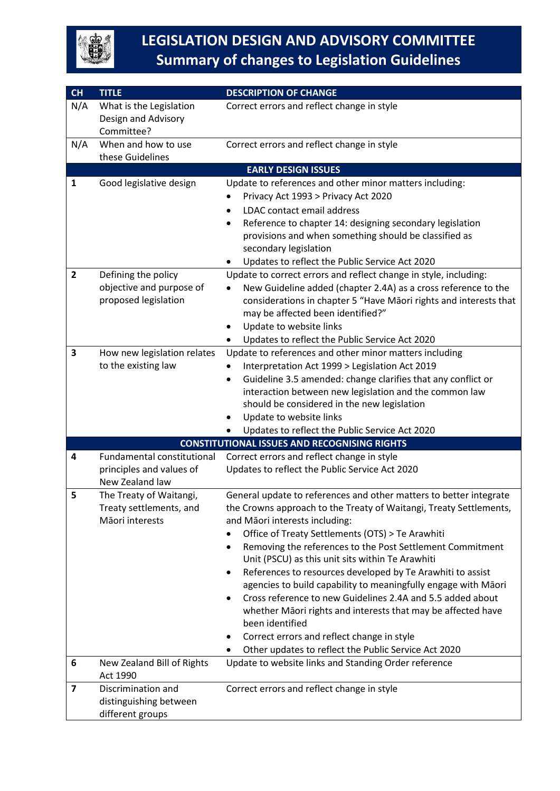

| CH                      | <b>TITLE</b>                                                              | <b>DESCRIPTION OF CHANGE</b>                                                                                                                                                                                                                                                                                                                                                                                                                                                                                                                                                                                                                                                                                                                        |
|-------------------------|---------------------------------------------------------------------------|-----------------------------------------------------------------------------------------------------------------------------------------------------------------------------------------------------------------------------------------------------------------------------------------------------------------------------------------------------------------------------------------------------------------------------------------------------------------------------------------------------------------------------------------------------------------------------------------------------------------------------------------------------------------------------------------------------------------------------------------------------|
| N/A                     | What is the Legislation<br>Design and Advisory<br>Committee?              | Correct errors and reflect change in style                                                                                                                                                                                                                                                                                                                                                                                                                                                                                                                                                                                                                                                                                                          |
| N/A                     | When and how to use<br>these Guidelines                                   | Correct errors and reflect change in style                                                                                                                                                                                                                                                                                                                                                                                                                                                                                                                                                                                                                                                                                                          |
|                         |                                                                           | <b>EARLY DESIGN ISSUES</b>                                                                                                                                                                                                                                                                                                                                                                                                                                                                                                                                                                                                                                                                                                                          |
| 1                       | Good legislative design                                                   | Update to references and other minor matters including:<br>Privacy Act 1993 > Privacy Act 2020<br>LDAC contact email address<br>Reference to chapter 14: designing secondary legislation<br>provisions and when something should be classified as<br>secondary legislation<br>Updates to reflect the Public Service Act 2020                                                                                                                                                                                                                                                                                                                                                                                                                        |
| $\mathbf{2}$            | Defining the policy<br>objective and purpose of<br>proposed legislation   | Update to correct errors and reflect change in style, including:<br>New Guideline added (chapter 2.4A) as a cross reference to the<br>considerations in chapter 5 "Have Māori rights and interests that<br>may be affected been identified?"<br>Update to website links<br>Updates to reflect the Public Service Act 2020                                                                                                                                                                                                                                                                                                                                                                                                                           |
| 3                       | How new legislation relates<br>to the existing law                        | Update to references and other minor matters including<br>Interpretation Act 1999 > Legislation Act 2019<br>Guideline 3.5 amended: change clarifies that any conflict or<br>interaction between new legislation and the common law<br>should be considered in the new legislation<br>Update to website links<br>Updates to reflect the Public Service Act 2020                                                                                                                                                                                                                                                                                                                                                                                      |
|                         |                                                                           | <b>CONSTITUTIONAL ISSUES AND RECOGNISING RIGHTS</b>                                                                                                                                                                                                                                                                                                                                                                                                                                                                                                                                                                                                                                                                                                 |
| 4                       | Fundamental constitutional<br>principles and values of<br>New Zealand law | Correct errors and reflect change in style<br>Updates to reflect the Public Service Act 2020                                                                                                                                                                                                                                                                                                                                                                                                                                                                                                                                                                                                                                                        |
| 5                       | The Treaty of Waitangi,<br>Treaty settlements, and<br>Māori interests     | General update to references and other matters to better integrate<br>the Crowns approach to the Treaty of Waitangi, Treaty Settlements,<br>and Māori interests including:<br>Office of Treaty Settlements (OTS) > Te Arawhiti<br>Removing the references to the Post Settlement Commitment<br>Unit (PSCU) as this unit sits within Te Arawhiti<br>References to resources developed by Te Arawhiti to assist<br>$\bullet$<br>agencies to build capability to meaningfully engage with Māori<br>Cross reference to new Guidelines 2.4A and 5.5 added about<br>whether Māori rights and interests that may be affected have<br>been identified<br>Correct errors and reflect change in style<br>Other updates to reflect the Public Service Act 2020 |
| 6                       | New Zealand Bill of Rights<br>Act 1990                                    | Update to website links and Standing Order reference                                                                                                                                                                                                                                                                                                                                                                                                                                                                                                                                                                                                                                                                                                |
| $\overline{\mathbf{z}}$ | Discrimination and<br>distinguishing between<br>different groups          | Correct errors and reflect change in style                                                                                                                                                                                                                                                                                                                                                                                                                                                                                                                                                                                                                                                                                                          |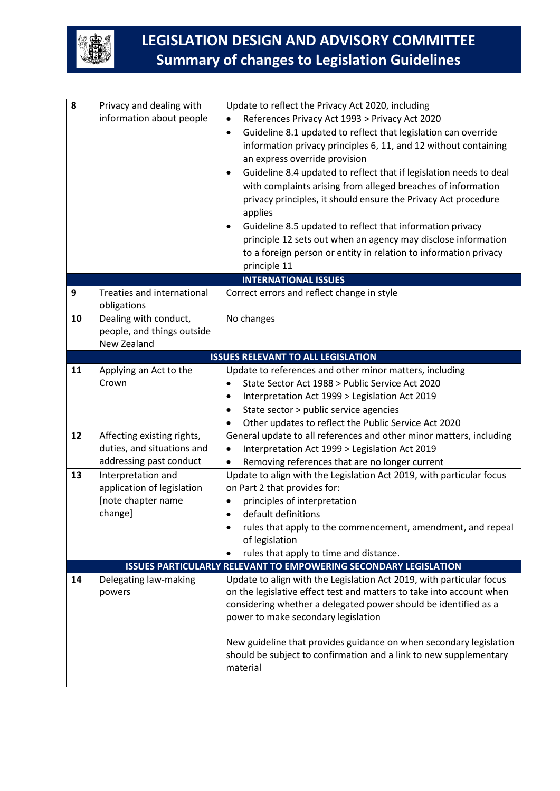

| 8  | Privacy and dealing with<br>information about people               | Update to reflect the Privacy Act 2020, including<br>References Privacy Act 1993 > Privacy Act 2020<br>Guideline 8.1 updated to reflect that legislation can override<br>information privacy principles 6, 11, and 12 without containing<br>an express override provision<br>Guideline 8.4 updated to reflect that if legislation needs to deal<br>with complaints arising from alleged breaches of information<br>privacy principles, it should ensure the Privacy Act procedure<br>applies<br>Guideline 8.5 updated to reflect that information privacy<br>principle 12 sets out when an agency may disclose information<br>to a foreign person or entity in relation to information privacy<br>principle 11 |
|----|--------------------------------------------------------------------|----------------------------------------------------------------------------------------------------------------------------------------------------------------------------------------------------------------------------------------------------------------------------------------------------------------------------------------------------------------------------------------------------------------------------------------------------------------------------------------------------------------------------------------------------------------------------------------------------------------------------------------------------------------------------------------------------------------|
| 9  | <b>Treaties and international</b>                                  | <b>INTERNATIONAL ISSUES</b><br>Correct errors and reflect change in style                                                                                                                                                                                                                                                                                                                                                                                                                                                                                                                                                                                                                                      |
|    | obligations                                                        |                                                                                                                                                                                                                                                                                                                                                                                                                                                                                                                                                                                                                                                                                                                |
| 10 | Dealing with conduct,<br>people, and things outside<br>New Zealand | No changes                                                                                                                                                                                                                                                                                                                                                                                                                                                                                                                                                                                                                                                                                                     |
|    |                                                                    | <b>ISSUES RELEVANT TO ALL LEGISLATION</b>                                                                                                                                                                                                                                                                                                                                                                                                                                                                                                                                                                                                                                                                      |
| 11 | Applying an Act to the                                             | Update to references and other minor matters, including                                                                                                                                                                                                                                                                                                                                                                                                                                                                                                                                                                                                                                                        |
|    | Crown                                                              | State Sector Act 1988 > Public Service Act 2020                                                                                                                                                                                                                                                                                                                                                                                                                                                                                                                                                                                                                                                                |
|    |                                                                    | Interpretation Act 1999 > Legislation Act 2019                                                                                                                                                                                                                                                                                                                                                                                                                                                                                                                                                                                                                                                                 |
|    |                                                                    | State sector > public service agencies                                                                                                                                                                                                                                                                                                                                                                                                                                                                                                                                                                                                                                                                         |
|    |                                                                    | Other updates to reflect the Public Service Act 2020                                                                                                                                                                                                                                                                                                                                                                                                                                                                                                                                                                                                                                                           |
| 12 | Affecting existing rights,<br>duties, and situations and           | General update to all references and other minor matters, including<br>Interpretation Act 1999 > Legislation Act 2019                                                                                                                                                                                                                                                                                                                                                                                                                                                                                                                                                                                          |
|    | addressing past conduct                                            | Removing references that are no longer current                                                                                                                                                                                                                                                                                                                                                                                                                                                                                                                                                                                                                                                                 |
| 13 | Interpretation and                                                 | Update to align with the Legislation Act 2019, with particular focus                                                                                                                                                                                                                                                                                                                                                                                                                                                                                                                                                                                                                                           |
|    | application of legislation                                         | on Part 2 that provides for:                                                                                                                                                                                                                                                                                                                                                                                                                                                                                                                                                                                                                                                                                   |
|    | [note chapter name                                                 | principles of interpretation                                                                                                                                                                                                                                                                                                                                                                                                                                                                                                                                                                                                                                                                                   |
|    | change]                                                            | default definitions                                                                                                                                                                                                                                                                                                                                                                                                                                                                                                                                                                                                                                                                                            |
|    |                                                                    | rules that apply to the commencement, amendment, and repeal<br>of legislation                                                                                                                                                                                                                                                                                                                                                                                                                                                                                                                                                                                                                                  |
|    |                                                                    | rules that apply to time and distance.                                                                                                                                                                                                                                                                                                                                                                                                                                                                                                                                                                                                                                                                         |
|    |                                                                    | <b>ISSUES PARTICULARLY RELEVANT TO EMPOWERING SECONDARY LEGISLATION</b>                                                                                                                                                                                                                                                                                                                                                                                                                                                                                                                                                                                                                                        |
| 14 | Delegating law-making<br>powers                                    | Update to align with the Legislation Act 2019, with particular focus<br>on the legislative effect test and matters to take into account when<br>considering whether a delegated power should be identified as a<br>power to make secondary legislation<br>New guideline that provides guidance on when secondary legislation<br>should be subject to confirmation and a link to new supplementary                                                                                                                                                                                                                                                                                                              |
|    |                                                                    | material                                                                                                                                                                                                                                                                                                                                                                                                                                                                                                                                                                                                                                                                                                       |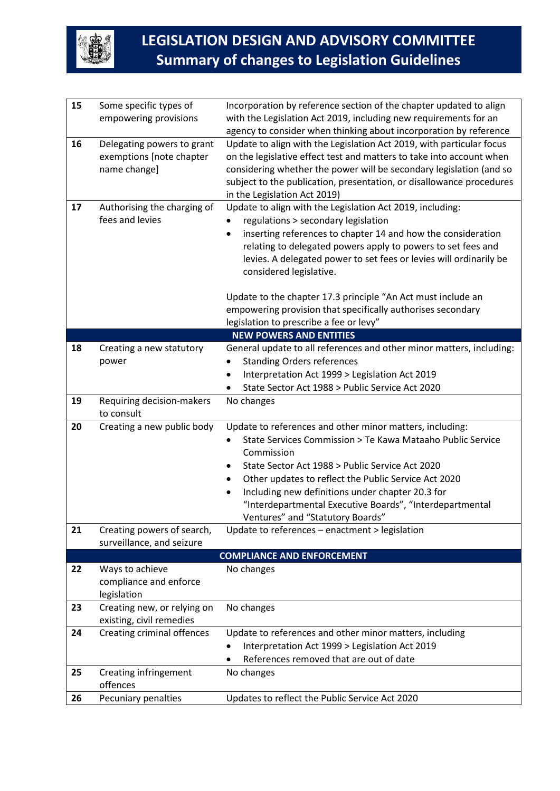

| 15 | Some specific types of            | Incorporation by reference section of the chapter updated to align                                   |
|----|-----------------------------------|------------------------------------------------------------------------------------------------------|
|    | empowering provisions             | with the Legislation Act 2019, including new requirements for an                                     |
|    |                                   | agency to consider when thinking about incorporation by reference                                    |
| 16 | Delegating powers to grant        | Update to align with the Legislation Act 2019, with particular focus                                 |
|    | exemptions [note chapter          | on the legislative effect test and matters to take into account when                                 |
|    | name change]                      | considering whether the power will be secondary legislation (and so                                  |
|    |                                   | subject to the publication, presentation, or disallowance procedures<br>in the Legislation Act 2019) |
| 17 | Authorising the charging of       | Update to align with the Legislation Act 2019, including:                                            |
|    | fees and levies                   | regulations > secondary legislation                                                                  |
|    |                                   | inserting references to chapter 14 and how the consideration                                         |
|    |                                   | relating to delegated powers apply to powers to set fees and                                         |
|    |                                   | levies. A delegated power to set fees or levies will ordinarily be                                   |
|    |                                   | considered legislative.                                                                              |
|    |                                   |                                                                                                      |
|    |                                   | Update to the chapter 17.3 principle "An Act must include an                                         |
|    |                                   | empowering provision that specifically authorises secondary                                          |
|    |                                   | legislation to prescribe a fee or levy"<br><b>NEW POWERS AND ENTITIES</b>                            |
| 18 |                                   | General update to all references and other minor matters, including:                                 |
|    | Creating a new statutory<br>power | <b>Standing Orders references</b>                                                                    |
|    |                                   | Interpretation Act 1999 > Legislation Act 2019                                                       |
|    |                                   | State Sector Act 1988 > Public Service Act 2020                                                      |
| 19 | Requiring decision-makers         | No changes                                                                                           |
|    | to consult                        |                                                                                                      |
| 20 | Creating a new public body        | Update to references and other minor matters, including:                                             |
|    |                                   | State Services Commission > Te Kawa Mataaho Public Service                                           |
|    |                                   | Commission                                                                                           |
|    |                                   | State Sector Act 1988 > Public Service Act 2020                                                      |
|    |                                   | Other updates to reflect the Public Service Act 2020                                                 |
|    |                                   | Including new definitions under chapter 20.3 for                                                     |
|    |                                   | "Interdepartmental Executive Boards", "Interdepartmental                                             |
|    |                                   | Ventures" and "Statutory Boards"                                                                     |
| 21 | Creating powers of search,        | Update to references - enactment > legislation                                                       |
|    | surveillance, and seizure         | <b>COMPLIANCE AND ENFORCEMENT</b>                                                                    |
| 22 | Ways to achieve                   | No changes                                                                                           |
|    | compliance and enforce            |                                                                                                      |
|    | legislation                       |                                                                                                      |
| 23 | Creating new, or relying on       | No changes                                                                                           |
|    | existing, civil remedies          |                                                                                                      |
| 24 | <b>Creating criminal offences</b> | Update to references and other minor matters, including                                              |
|    |                                   | Interpretation Act 1999 > Legislation Act 2019                                                       |
|    |                                   | References removed that are out of date                                                              |
| 25 | Creating infringement             | No changes                                                                                           |
|    | offences                          |                                                                                                      |
| 26 | Pecuniary penalties               | Updates to reflect the Public Service Act 2020                                                       |